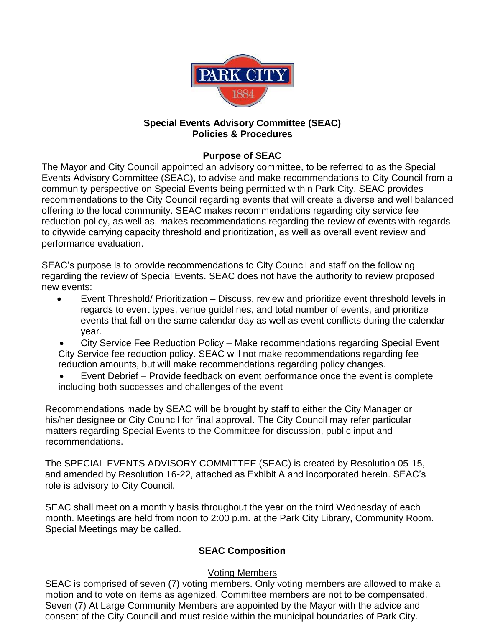

#### **Special Events Advisory Committee (SEAC) Policies & Procedures**

### **Purpose of SEAC**

The Mayor and City Council appointed an advisory committee, to be referred to as the Special Events Advisory Committee (SEAC), to advise and make recommendations to City Council from a community perspective on Special Events being permitted within Park City. SEAC provides recommendations to the City Council regarding events that will create a diverse and well balanced offering to the local community. SEAC makes recommendations regarding city service fee reduction policy, as well as, makes recommendations regarding the review of events with regards to citywide carrying capacity threshold and prioritization, as well as overall event review and performance evaluation.

SEAC's purpose is to provide recommendations to City Council and staff on the following regarding the review of Special Events. SEAC does not have the authority to review proposed new events:

- Event Threshold/ Prioritization Discuss, review and prioritize event threshold levels in regards to event types, venue guidelines, and total number of events, and prioritize events that fall on the same calendar day as well as event conflicts during the calendar year.
- City Service Fee Reduction Policy Make recommendations regarding Special Event City Service fee reduction policy. SEAC will not make recommendations regarding fee reduction amounts, but will make recommendations regarding policy changes.
- Event Debrief Provide feedback on event performance once the event is complete including both successes and challenges of the event

Recommendations made by SEAC will be brought by staff to either the City Manager or his/her designee or City Council for final approval. The City Council may refer particular matters regarding Special Events to the Committee for discussion, public input and recommendations.

The SPECIAL EVENTS ADVISORY COMMITTEE (SEAC) is created by Resolution 05-15, and amended by Resolution 16-22, attached as Exhibit A and incorporated herein. SEAC's role is advisory to City Council.

SEAC shall meet on a monthly basis throughout the year on the third Wednesday of each month. Meetings are held from noon to 2:00 p.m. at the Park City Library, Community Room. Special Meetings may be called.

### **SEAC Composition**

### Voting Members

SEAC is comprised of seven (7) voting members. Only voting members are allowed to make a motion and to vote on items as agenized. Committee members are not to be compensated. Seven (7) At Large Community Members are appointed by the Mayor with the advice and consent of the City Council and must reside within the municipal boundaries of Park City.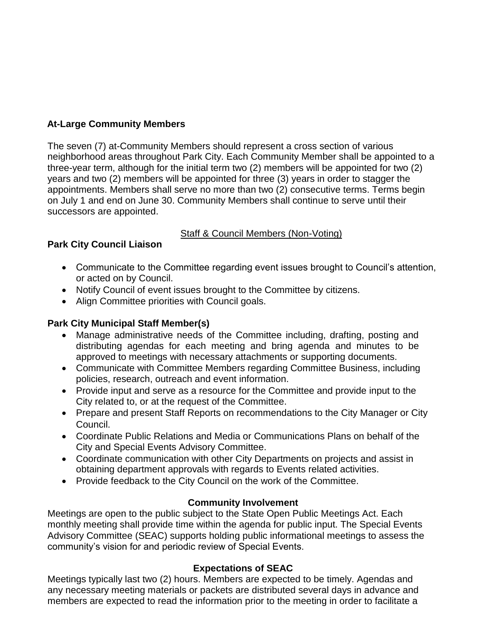## **At-Large Community Members**

The seven (7) at-Community Members should represent a cross section of various neighborhood areas throughout Park City. Each Community Member shall be appointed to a three-year term, although for the initial term two (2) members will be appointed for two (2) years and two (2) members will be appointed for three (3) years in order to stagger the appointments. Members shall serve no more than two (2) consecutive terms. Terms begin on July 1 and end on June 30. Community Members shall continue to serve until their successors are appointed.

### Staff & Council Members (Non-Voting)

# **Park City Council Liaison**

- Communicate to the Committee regarding event issues brought to Council's attention, or acted on by Council.
- Notify Council of event issues brought to the Committee by citizens.
- Align Committee priorities with Council goals.

# **Park City Municipal Staff Member(s)**

- Manage administrative needs of the Committee including, drafting, posting and distributing agendas for each meeting and bring agenda and minutes to be approved to meetings with necessary attachments or supporting documents.
- Communicate with Committee Members regarding Committee Business, including policies, research, outreach and event information.
- Provide input and serve as a resource for the Committee and provide input to the City related to, or at the request of the Committee.
- Prepare and present Staff Reports on recommendations to the City Manager or City Council.
- Coordinate Public Relations and Media or Communications Plans on behalf of the City and Special Events Advisory Committee.
- Coordinate communication with other City Departments on projects and assist in obtaining department approvals with regards to Events related activities.
- Provide feedback to the City Council on the work of the Committee.

### **Community Involvement**

Meetings are open to the public subject to the State Open Public Meetings Act. Each monthly meeting shall provide time within the agenda for public input. The Special Events Advisory Committee (SEAC) supports holding public informational meetings to assess the community's vision for and periodic review of Special Events.

### **Expectations of SEAC**

Meetings typically last two (2) hours. Members are expected to be timely. Agendas and any necessary meeting materials or packets are distributed several days in advance and members are expected to read the information prior to the meeting in order to facilitate a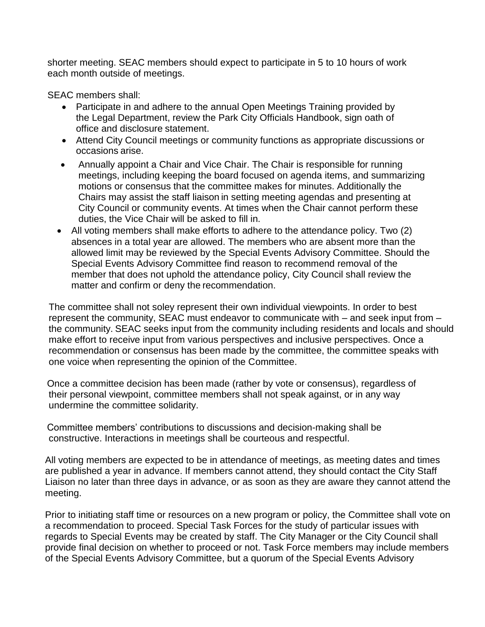shorter meeting. SEAC members should expect to participate in 5 to 10 hours of work each month outside of meetings.

SEAC members shall:

- Participate in and adhere to the annual Open Meetings Training provided by the Legal Department, review the Park City Officials Handbook, sign oath of office and disclosure statement.
- Attend City Council meetings or community functions as appropriate discussions or occasions arise.
- Annually appoint a Chair and Vice Chair. The Chair is responsible for running meetings, including keeping the board focused on agenda items, and summarizing motions or consensus that the committee makes for minutes. Additionally the Chairs may assist the staff liaison in setting meeting agendas and presenting at City Council or community events. At times when the Chair cannot perform these duties, the Vice Chair will be asked to fill in.
- All voting members shall make efforts to adhere to the attendance policy. Two (2) absences in a total year are allowed. The members who are absent more than the allowed limit may be reviewed by the Special Events Advisory Committee. Should the Special Events Advisory Committee find reason to recommend removal of the member that does not uphold the attendance policy, City Council shall review the matter and confirm or deny the recommendation.

The committee shall not soley represent their own individual viewpoints. In order to best represent the community, SEAC must endeavor to communicate with – and seek input from – the community. SEAC seeks input from the community including residents and locals and should make effort to receive input from various perspectives and inclusive perspectives. Once a recommendation or consensus has been made by the committee, the committee speaks with one voice when representing the opinion of the Committee.

 Once a committee decision has been made (rather by vote or consensus), regardless of their personal viewpoint, committee members shall not speak against, or in any way undermine the committee solidarity.

 Committee members' contributions to discussions and decision-making shall be constructive. Interactions in meetings shall be courteous and respectful.

All voting members are expected to be in attendance of meetings, as meeting dates and times are published a year in advance. If members cannot attend, they should contact the City Staff Liaison no later than three days in advance, or as soon as they are aware they cannot attend the meeting.

Prior to initiating staff time or resources on a new program or policy, the Committee shall vote on a recommendation to proceed. Special Task Forces for the study of particular issues with regards to Special Events may be created by staff. The City Manager or the City Council shall provide final decision on whether to proceed or not. Task Force members may include members of the Special Events Advisory Committee, but a quorum of the Special Events Advisory